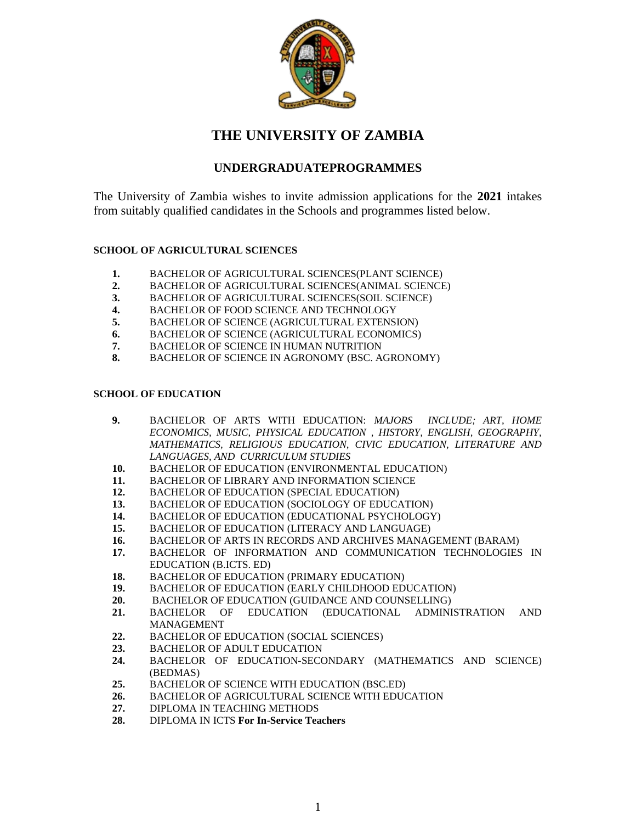

# **THE UNIVERSITY OF ZAMBIA**

## **UNDERGRADUATEPROGRAMMES**

The University of Zambia wishes to invite admission applications for the **2021** intakes from suitably qualified candidates in the Schools and programmes listed below.

## **SCHOOL OF AGRICULTURAL SCIENCES**

- **1.** BACHELOR OF AGRICULTURAL SCIENCES(PLANT SCIENCE)
- **2.** BACHELOR OF AGRICULTURAL SCIENCES(ANIMAL SCIENCE)
- **3.** BACHELOR OF AGRICULTURAL SCIENCES(SOIL SCIENCE)
- **4.** BACHELOR OF FOOD SCIENCE AND TECHNOLOGY
- **5.** BACHELOR OF SCIENCE (AGRICULTURAL EXTENSION)
- **6.** BACHELOR OF SCIENCE (AGRICULTURAL ECONOMICS)
- **7.** BACHELOR OF SCIENCE IN HUMAN NUTRITION
- **8.** BACHELOR OF SCIENCE IN AGRONOMY (BSC. AGRONOMY)

## **SCHOOL OF EDUCATION**

- **9.** BACHELOR OF ARTS WITH EDUCATION: *MAJORS INCLUDE; ART, HOME ECONOMICS, MUSIC, PHYSICAL EDUCATION , HISTORY, ENGLISH, GEOGRAPHY, MATHEMATICS, RELIGIOUS EDUCATION, CIVIC EDUCATION, LITERATURE AND LANGUAGES, AND CURRICULUM STUDIES*
- **10.** BACHELOR OF EDUCATION (ENVIRONMENTAL EDUCATION)
- **11.** BACHELOR OF LIBRARY AND INFORMATION SCIENCE
- **12.** BACHELOR OF EDUCATION (SPECIAL EDUCATION)
- **13.** BACHELOR OF EDUCATION (SOCIOLOGY OF EDUCATION)
- **14.** BACHELOR OF EDUCATION (EDUCATIONAL PSYCHOLOGY)
- **15.** BACHELOR OF EDUCATION (LITERACY AND LANGUAGE)
- **16.** BACHELOR OF ARTS IN RECORDS AND ARCHIVES MANAGEMENT (BARAM)
- **17.** BACHELOR OF INFORMATION AND COMMUNICATION TECHNOLOGIES IN EDUCATION (B.ICTS. ED)
- **18.** BACHELOR OF EDUCATION (PRIMARY EDUCATION)
- **19.** BACHELOR OF EDUCATION (EARLY CHILDHOOD EDUCATION)
- **20.** BACHELOR OF EDUCATION (GUIDANCE AND COUNSELLING)
- **21.** BACHELOR OF EDUCATION (EDUCATIONAL ADMINISTRATION AND MANAGEMENT
- **22.** BACHELOR OF EDUCATION (SOCIAL SCIENCES)
- **23.** BACHELOR OF ADULT EDUCATION
- **24.** BACHELOR OF EDUCATION-SECONDARY (MATHEMATICS AND SCIENCE) (BEDMAS)
- **25.** BACHELOR OF SCIENCE WITH EDUCATION (BSC.ED)
- **26.** BACHELOR OF AGRICULTURAL SCIENCE WITH EDUCATION
- **27.** DIPLOMA IN TEACHING METHODS
- **28.** DIPLOMA IN ICTS **For In-Service Teachers**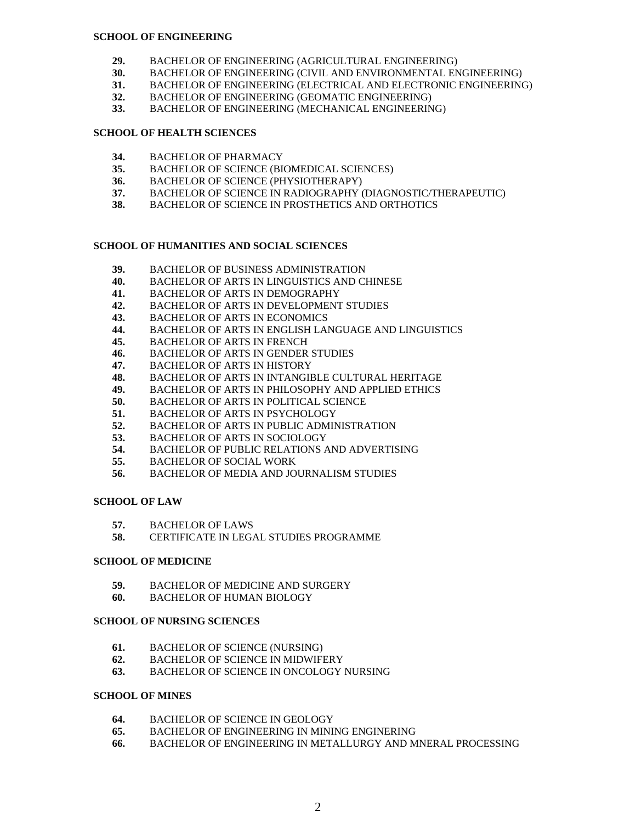#### **SCHOOL OF ENGINEERING**

- **29.** BACHELOR OF ENGINEERING (AGRICULTURAL ENGINEERING)
- **30.** BACHELOR OF ENGINEERING (CIVIL AND ENVIRONMENTAL ENGINEERING)
- **31.** BACHELOR OF ENGINEERING (ELECTRICAL AND ELECTRONIC ENGINEERING)
- **32.** BACHELOR OF ENGINEERING (GEOMATIC ENGINEERING)
- **33.** BACHELOR OF ENGINEERING (MECHANICAL ENGINEERING)

#### **SCHOOL OF HEALTH SCIENCES**

- **34.** BACHELOR OF PHARMACY
- **35.** BACHELOR OF SCIENCE (BIOMEDICAL SCIENCES)
- **36.** BACHELOR OF SCIENCE (PHYSIOTHERAPY)
- **37.** BACHELOR OF SCIENCE IN RADIOGRAPHY (DIAGNOSTIC/THERAPEUTIC)
- **38.** BACHELOR OF SCIENCE IN PROSTHETICS AND ORTHOTICS

## **SCHOOL OF HUMANITIES AND SOCIAL SCIENCES**

- **39.** BACHELOR OF BUSINESS ADMINISTRATION
- **40.** BACHELOR OF ARTS IN LINGUISTICS AND CHINESE
- **41.** BACHELOR OF ARTS IN DEMOGRAPHY
- **42.** BACHELOR OF ARTS IN DEVELOPMENT STUDIES
- **43.** BACHELOR OF ARTS IN ECONOMICS
- **44.** BACHELOR OF ARTS IN ENGLISH LANGUAGE AND LINGUISTICS
- **45.** BACHELOR OF ARTS IN FRENCH
- **46.** BACHELOR OF ARTS IN GENDER STUDIES
- **47.** BACHELOR OF ARTS IN HISTORY
- **48.** BACHELOR OF ARTS IN INTANGIBLE CULTURAL HERITAGE
- **49.** BACHELOR OF ARTS IN PHILOSOPHY AND APPLIED ETHICS
- **50.** BACHELOR OF ARTS IN POLITICAL SCIENCE
- **51.** BACHELOR OF ARTS IN PSYCHOLOGY
- **52.** BACHELOR OF ARTS IN PUBLIC ADMINISTRATION
- **53.** BACHELOR OF ARTS IN SOCIOLOGY
- **54.** BACHELOR OF PUBLIC RELATIONS AND ADVERTISING
- **55.** BACHELOR OF SOCIAL WORK
- **56.** BACHELOR OF MEDIA AND JOURNALISM STUDIES

#### **SCHOOL OF LAW**

- **57.** BACHELOR OF LAWS
- **58.** CERTIFICATE IN LEGAL STUDIES PROGRAMME

#### **SCHOOL OF MEDICINE**

- **59.** BACHELOR OF MEDICINE AND SURGERY
- **60.** BACHELOR OF HUMAN BIOLOGY

#### **SCHOOL OF NURSING SCIENCES**

- **61.** BACHELOR OF SCIENCE (NURSING)
- **62.** BACHELOR OF SCIENCE IN MIDWIFERY
- **63.** BACHELOR OF SCIENCE IN ONCOLOGY NURSING

#### **SCHOOL OF MINES**

- **64.** BACHELOR OF SCIENCE IN GEOLOGY
- **65.** BACHELOR OF ENGINEERING IN MINING ENGINERING
- **66.** BACHELOR OF ENGINEERING IN METALLURGY AND MNERAL PROCESSING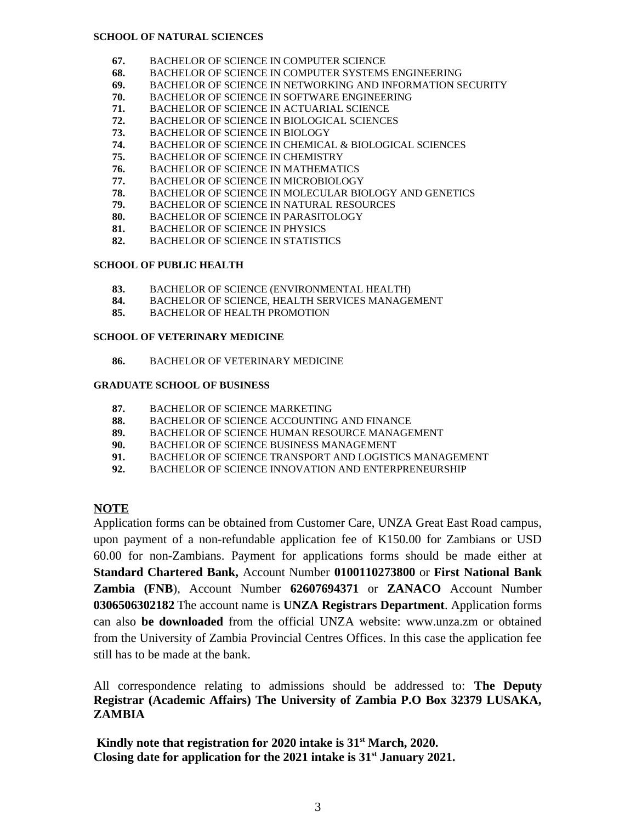#### **SCHOOL OF NATURAL SCIENCES**

- **67.** BACHELOR OF SCIENCE IN COMPUTER SCIENCE
- **68.** BACHELOR OF SCIENCE IN COMPUTER SYSTEMS ENGINEERING
- **69.** BACHELOR OF SCIENCE IN NETWORKING AND INFORMATION SECURITY
- **70.** BACHELOR OF SCIENCE IN SOFTWARE ENGINEERING
- **71.** BACHELOR OF SCIENCE IN ACTUARIAL SCIENCE
- **72.** BACHELOR OF SCIENCE IN BIOLOGICAL SCIENCES
- **73.** BACHELOR OF SCIENCE IN BIOLOGY
- **74.** BACHELOR OF SCIENCE IN CHEMICAL & BIOLOGICAL SCIENCES
- **75.** BACHELOR OF SCIENCE IN CHEMISTRY
- **76.** BACHELOR OF SCIENCE IN MATHEMATICS
- **77.** BACHELOR OF SCIENCE IN MICROBIOLOGY
- **78.** BACHELOR OF SCIENCE IN MOLECULAR BIOLOGY AND GENETICS
- **79.** BACHELOR OF SCIENCE IN NATURAL RESOURCES
- **80.** BACHELOR OF SCIENCE IN PARASITOLOGY
- **81.** BACHELOR OF SCIENCE IN PHYSICS
- **82.** BACHELOR OF SCIENCE IN STATISTICS

### **SCHOOL OF PUBLIC HEALTH**

- **83.** BACHELOR OF SCIENCE (ENVIRONMENTAL HEALTH)
- **84.** BACHELOR OF SCIENCE, HEALTH SERVICES MANAGEMENT
- **85.** BACHELOR OF HEALTH PROMOTION

#### **SCHOOL OF VETERINARY MEDICINE**

**86.** BACHELOR OF VETERINARY MEDICINE

#### **GRADUATE SCHOOL OF BUSINESS**

- **87.** BACHELOR OF SCIENCE MARKETING
- **88.** BACHELOR OF SCIENCE ACCOUNTING AND FINANCE
- **89.** BACHELOR OF SCIENCE HUMAN RESOURCE MANAGEMENT
- **90.** BACHELOR OF SCIENCE BUSINESS MANAGEMENT
- **91.** BACHELOR OF SCIENCE TRANSPORT AND LOGISTICS MANAGEMENT
- **92.** BACHELOR OF SCIENCE INNOVATION AND ENTERPRENEURSHIP

## **NOTE**

Application forms can be obtained from Customer Care, UNZA Great East Road campus, upon payment of a non-refundable application fee of K150.00 for Zambians or USD 60.00 for non-Zambians. Payment for applications forms should be made either at **Standard Chartered Bank,** Account Number **0100110273800** or **First National Bank Zambia (FNB**), Account Number **62607694371** or **ZANACO** Account Number **0306506302182** The account name is **UNZA Registrars Department**. Application forms can also **be downloaded** from the official UNZA website: www.unza.zm or obtained from the University of Zambia Provincial Centres Offices. In this case the application fee still has to be made at the bank.

All correspondence relating to admissions should be addressed to: **The Deputy Registrar (Academic Affairs) The University of Zambia P.O Box 32379 LUSAKA, ZAMBIA** 

 **Kindly note that registration for 2020 intake is 31st March, 2020. Closing date for application for the 2021 intake is 31st January 2021.**